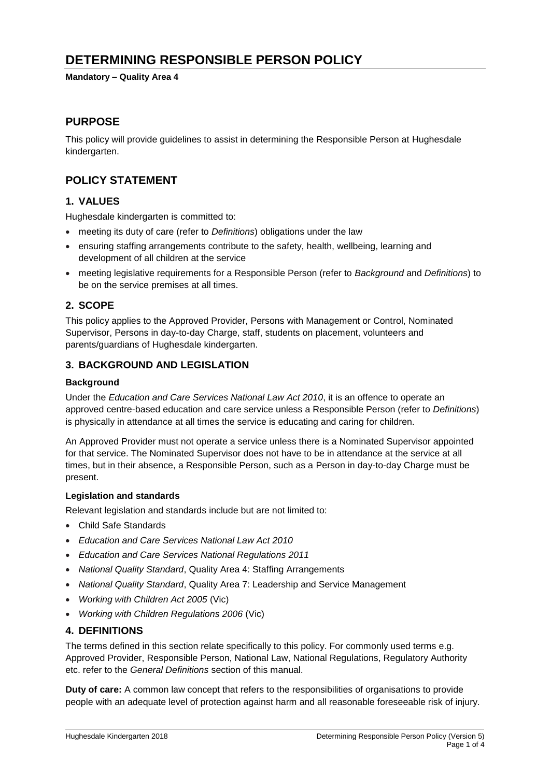# **DETERMINING RESPONSIBLE PERSON POLICY**

**Mandatory – Quality Area 4**

## **PURPOSE**

This policy will provide guidelines to assist in determining the Responsible Person at Hughesdale kindergarten.

## **POLICY STATEMENT**

## **1. VALUES**

Hughesdale kindergarten is committed to:

- meeting its duty of care (refer to *Definitions*) obligations under the law
- ensuring staffing arrangements contribute to the safety, health, wellbeing, learning and development of all children at the service
- meeting legislative requirements for a Responsible Person (refer to *Background* and *Definitions*) to be on the service premises at all times.

## **2. SCOPE**

This policy applies to the Approved Provider, Persons with Management or Control, Nominated Supervisor, Persons in day-to-day Charge, staff, students on placement, volunteers and parents/guardians of Hughesdale kindergarten.

## **3. BACKGROUND AND LEGISLATION**

### **Background**

Under the *Education and Care Services National Law Act 2010*, it is an offence to operate an approved centre-based education and care service unless a Responsible Person (refer to *Definitions*) is physically in attendance at all times the service is educating and caring for children.

An Approved Provider must not operate a service unless there is a Nominated Supervisor appointed for that service. The Nominated Supervisor does not have to be in attendance at the service at all times, but in their absence, a Responsible Person, such as a Person in day-to-day Charge must be present.

### **Legislation and standards**

Relevant legislation and standards include but are not limited to:

- Child Safe Standards
- *Education and Care Services National Law Act 2010*
- *Education and Care Services National Regulations 2011*
- *National Quality Standard*, Quality Area 4: Staffing Arrangements
- *National Quality Standard*, Quality Area 7: Leadership and Service Management
- *Working with Children Act 2005* (Vic)
- *Working with Children Regulations 2006* (Vic)

### **4. DEFINITIONS**

The terms defined in this section relate specifically to this policy. For commonly used terms e.g. Approved Provider, Responsible Person, National Law, National Regulations, Regulatory Authority etc. refer to the *General Definitions* section of this manual.

**Duty of care:** A common law concept that refers to the responsibilities of organisations to provide people with an adequate level of protection against harm and all reasonable foreseeable risk of injury.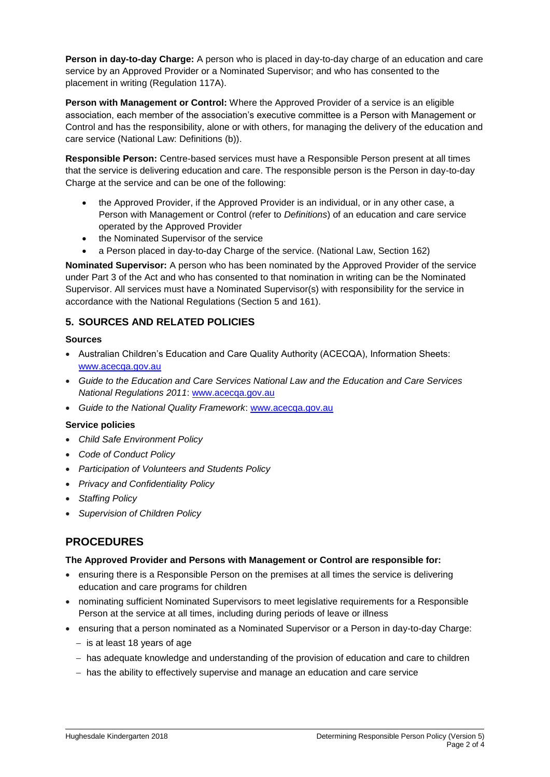**Person in day-to-day Charge:** A person who is placed in day-to-day charge of an education and care service by an Approved Provider or a Nominated Supervisor; and who has consented to the placement in writing (Regulation 117A).

**Person with Management or Control:** Where the Approved Provider of a service is an eligible association, each member of the association's executive committee is a Person with Management or Control and has the responsibility, alone or with others, for managing the delivery of the education and care service (National Law: Definitions (b)).

**Responsible Person:** Centre-based services must have a Responsible Person present at all times that the service is delivering education and care. The responsible person is the Person in day-to-day Charge at the service and can be one of the following:

- the Approved Provider, if the Approved Provider is an individual, or in any other case, a Person with Management or Control (refer to *Definitions*) of an education and care service operated by the Approved Provider
- the Nominated Supervisor of the service
- a Person placed in day-to-day Charge of the service. (National Law, Section 162)

**Nominated Supervisor:** A person who has been nominated by the Approved Provider of the service under Part 3 of the Act and who has consented to that nomination in writing can be the Nominated Supervisor. All services must have a Nominated Supervisor(s) with responsibility for the service in accordance with the National Regulations (Section 5 and 161).

## **5. SOURCES AND RELATED POLICIES**

### **Sources**

- Australian Children's Education and Care Quality Authority (ACECQA), Information Sheets: [www.acecqa.gov.au](http://www.acecqa.gov.au/)
- *Guide to the Education and Care Services National Law and the Education and Care Services National Regulations 2011*: [www.acecqa.gov.au](http://www.acecqa.gov.au/)
- *Guide to the National Quality Framework*: [www.acecqa.gov.au](http://www.acecqa.gov.au/)

### **Service policies**

- *Child Safe Environment Policy*
- *Code of Conduct Policy*
- *Participation of Volunteers and Students Policy*
- *Privacy and Confidentiality Policy*
- *Staffing Policy*
- *Supervision of Children Policy*

## **PROCEDURES**

### **The Approved Provider and Persons with Management or Control are responsible for:**

- ensuring there is a Responsible Person on the premises at all times the service is delivering education and care programs for children
- nominating sufficient Nominated Supervisors to meet legislative requirements for a Responsible Person at the service at all times, including during periods of leave or illness
- ensuring that a person nominated as a Nominated Supervisor or a Person in day-to-day Charge:
	- − is at least 18 years of age
	- − has adequate knowledge and understanding of the provision of education and care to children
	- − has the ability to effectively supervise and manage an education and care service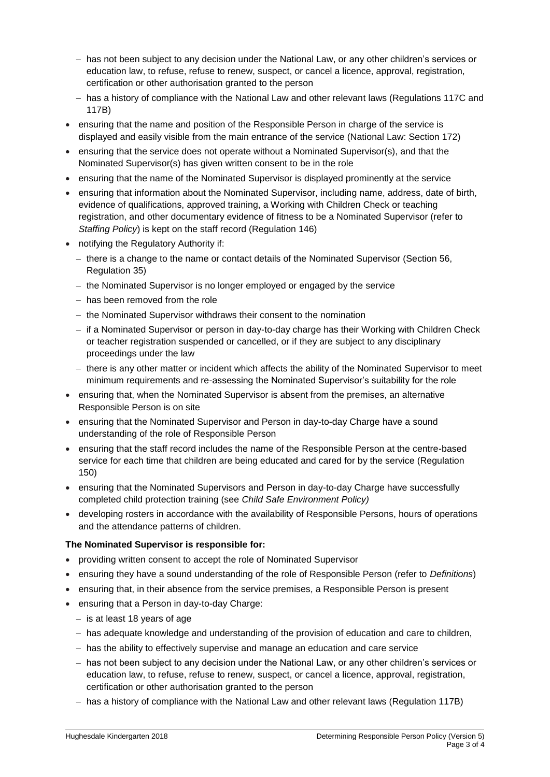- − has not been subject to any decision under the National Law, or any other children's services or education law, to refuse, refuse to renew, suspect, or cancel a licence, approval, registration, certification or other authorisation granted to the person
- − has a history of compliance with the National Law and other relevant laws (Regulations 117C and 117B)
- ensuring that the name and position of the Responsible Person in charge of the service is displayed and easily visible from the main entrance of the service (National Law: Section 172)
- ensuring that the service does not operate without a Nominated Supervisor(s), and that the Nominated Supervisor(s) has given written consent to be in the role
- ensuring that the name of the Nominated Supervisor is displayed prominently at the service
- ensuring that information about the Nominated Supervisor, including name, address, date of birth, evidence of qualifications, approved training, a Working with Children Check or teaching registration, and other documentary evidence of fitness to be a Nominated Supervisor (refer to *Staffing Policy*) is kept on the staff record (Regulation 146)
- notifying the Regulatory Authority if:
	- − there is a change to the name or contact details of the Nominated Supervisor (Section 56, Regulation 35)
	- − the Nominated Supervisor is no longer employed or engaged by the service
	- − has been removed from the role
	- − the Nominated Supervisor withdraws their consent to the nomination
	- − if a Nominated Supervisor or person in day-to-day charge has their Working with Children Check or teacher registration suspended or cancelled, or if they are subject to any disciplinary proceedings under the law
	- − there is any other matter or incident which affects the ability of the Nominated Supervisor to meet minimum requirements and re-assessing the Nominated Supervisor's suitability for the role
- ensuring that, when the Nominated Supervisor is absent from the premises, an alternative Responsible Person is on site
- ensuring that the Nominated Supervisor and Person in day-to-day Charge have a sound understanding of the role of Responsible Person
- ensuring that the staff record includes the name of the Responsible Person at the centre-based service for each time that children are being educated and cared for by the service (Regulation 150)
- ensuring that the Nominated Supervisors and Person in day-to-day Charge have successfully completed child protection training (see *Child Safe Environment Policy)*
- developing rosters in accordance with the availability of Responsible Persons, hours of operations and the attendance patterns of children.

### **The Nominated Supervisor is responsible for:**

- providing written consent to accept the role of Nominated Supervisor
- ensuring they have a sound understanding of the role of Responsible Person (refer to *Definitions*)
- ensuring that, in their absence from the service premises, a Responsible Person is present
- ensuring that a Person in day-to-day Charge:
	- − is at least 18 years of age
	- − has adequate knowledge and understanding of the provision of education and care to children,
	- − has the ability to effectively supervise and manage an education and care service
	- − has not been subject to any decision under the National Law, or any other children's services or education law, to refuse, refuse to renew, suspect, or cancel a licence, approval, registration, certification or other authorisation granted to the person
	- − has a history of compliance with the National Law and other relevant laws (Regulation 117B)